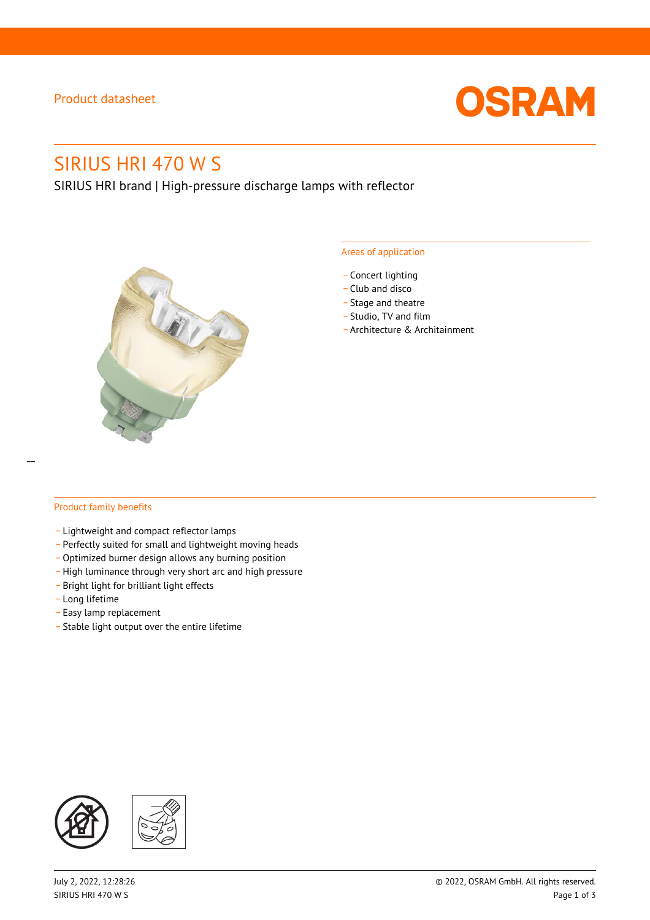### Product datasheet



# SIRIUS HRI 470 W S

SIRIUS HRI brand | High-pressure discharge lamps with reflector



#### Areas of application

- Concert lighting
- \_ Club and disco
- Stage and theatre
- \_ Studio, TV and film
- \_ Architecture & Architainment

### Product family benefits

- \_ Lightweight and compact reflector lamps
- \_ Perfectly suited for small and lightweight moving heads
- Optimized burner design allows any burning position
- High luminance through very short arc and high pressure
- \_ Bright light for brilliant light effects
- \_ Long lifetime
- \_ Easy lamp replacement
- \_ Stable light output over the entire lifetime

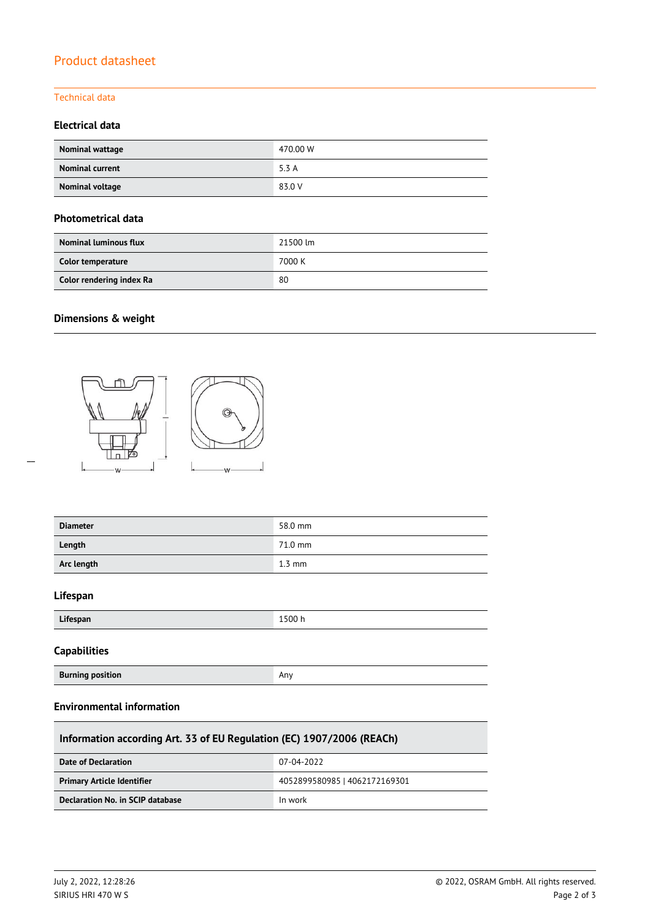## Product datasheet

### Technical data

### **Electrical data**

| Nominal wattage        | 470.00 W |
|------------------------|----------|
| <b>Nominal current</b> | 5.3A     |
| Nominal voltage        | 83.0 V   |

#### **Photometrical data**

| <b>Nominal luminous flux</b> | 21500 lm |
|------------------------------|----------|
| Color temperature            | 7000 K   |
| Color rendering index Ra     | 80       |

### **Dimensions & weight**



| <b>Diameter</b> | 58.0 mm          |
|-----------------|------------------|
| Length          | 71.0 mm          |
| Arc length      | $1.3 \text{ mm}$ |
| Lifespan        |                  |
| Lifespan        | 1500 h           |
| $C = 1$         |                  |

### **Capabilities**

 $\overline{a}$ 

| <b>Burning position</b> | Any |
|-------------------------|-----|
|-------------------------|-----|

### **Environmental information**

| Information according Art. 33 of EU Regulation (EC) 1907/2006 (REACh) |                               |  |  |
|-----------------------------------------------------------------------|-------------------------------|--|--|
| Date of Declaration                                                   | 07-04-2022                    |  |  |
| <b>Primary Article Identifier</b>                                     | 4052899580985   4062172169301 |  |  |
| Declaration No. in SCIP database                                      | In work                       |  |  |